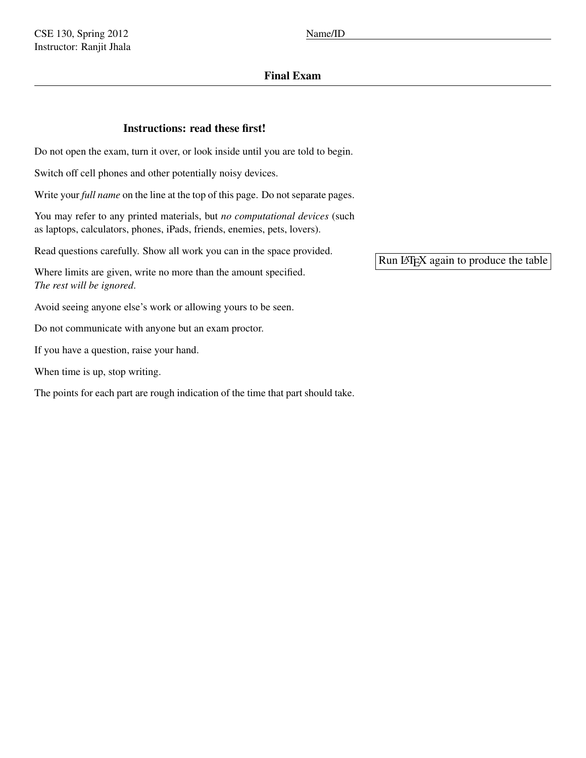## Final Exam

## Instructions: read these first!

Do not open the exam, turn it over, or look inside until you are told to begin.

Switch off cell phones and other potentially noisy devices.

Write your *full name* on the line at the top of this page. Do not separate pages.

You may refer to any printed materials, but *no computational devices* (such as laptops, calculators, phones, iPads, friends, enemies, pets, lovers).

Read questions carefully. Show all work you can in the space provided.

Where limits are given, write no more than the amount specified. *The rest will be ignored*.

Avoid seeing anyone else's work or allowing yours to be seen.

Do not communicate with anyone but an exam proctor.

If you have a question, raise your hand.

When time is up, stop writing.

The points for each part are rough indication of the time that part should take.

Run LATEX again to produce the table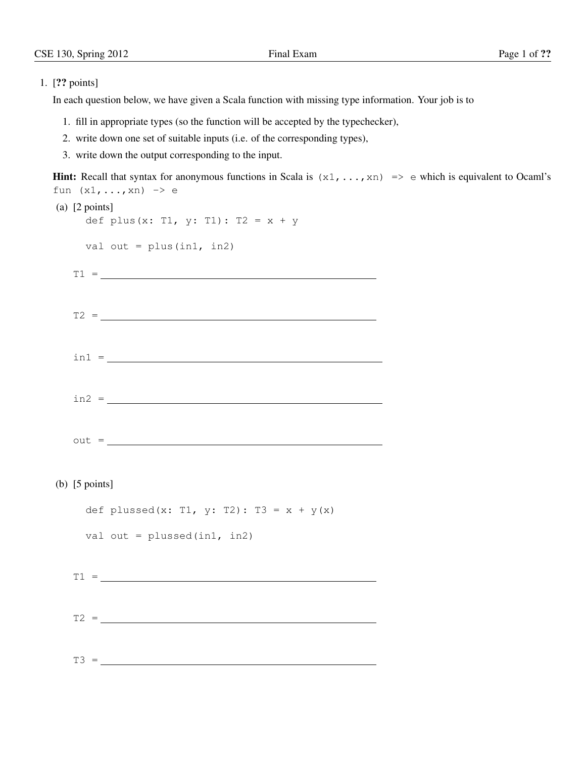## 1. [?? points]

In each question below, we have given a Scala function with missing type information. Your job is to

- 1. fill in appropriate types (so the function will be accepted by the typechecker),
- 2. write down one set of suitable inputs (i.e. of the corresponding types),
- 3. write down the output corresponding to the input.

```
Hint: Recall that syntax for anonymous functions in Scala is (x_1, \ldots, x_n) \implies e which is equivalent to Ocaml's
fun (x1, \ldots, xn) \rightarrow e(a) [2 points]
   def plus(x: T1, y: T1): T2 = x + yval out = plus(int, in2)T1 =T2 = \_\text{in1} = \_\ln 2 =out =(b) [5 points]
   def plussed(x: T1, y: T2): T3 = x + y(x)
   val out = plussed(in1, in2)
 T1 = \_T2 = \_
```
 $T3 =$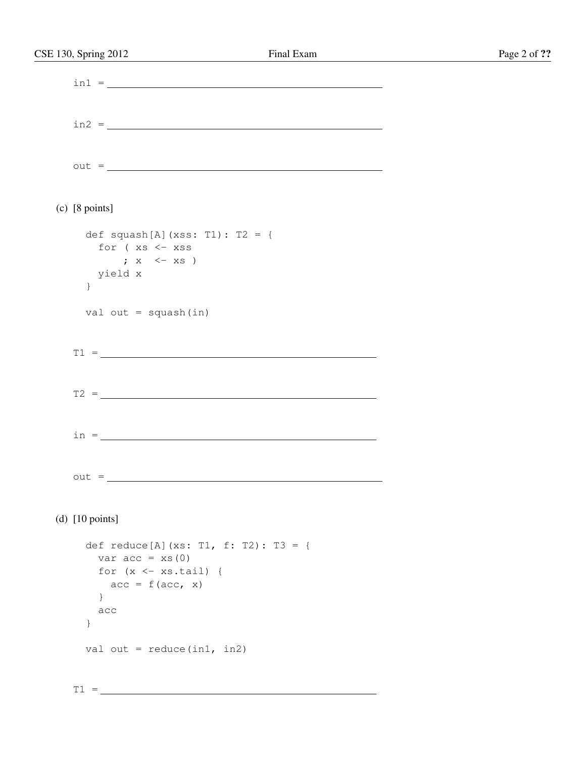| CSE 130, Spring 2012            | Final Exam                             | Page 2 of ?? |
|---------------------------------|----------------------------------------|--------------|
|                                 | $\text{in1} =$                         |              |
|                                 |                                        |              |
|                                 | $\text{in2} =$                         |              |
|                                 |                                        |              |
|                                 | $out =$                                |              |
|                                 |                                        |              |
| $(c)$ [8 points]                |                                        |              |
| def squash[A] (xss: T1): T2 = { |                                        |              |
| for (xs <- xss                  |                                        |              |
| ; $x \leftarrow xs$             |                                        |              |
| yield x                         |                                        |              |
| $\}$                            |                                        |              |
| val out = $square(int)$         |                                        |              |
|                                 | $T1 = \_$                              |              |
|                                 |                                        |              |
|                                 |                                        |              |
|                                 |                                        |              |
|                                 |                                        |              |
|                                 |                                        |              |
|                                 |                                        |              |
| $out =$                         |                                        |              |
|                                 |                                        |              |
| (d) $[10 \text{ points}]$       |                                        |              |
|                                 | def reduce [A] (xs: T1, f: T2): T3 = { |              |
| var $acc = xs(0)$               |                                        |              |
| for $(x \leftarrow xs.tail)$ {  |                                        |              |
| $acc = f(acc, x)$               |                                        |              |
| $\}$                            |                                        |              |
| acc                             |                                        |              |
| }                               |                                        |              |
| val out = $reduce(in1, in2)$    |                                        |              |
|                                 |                                        |              |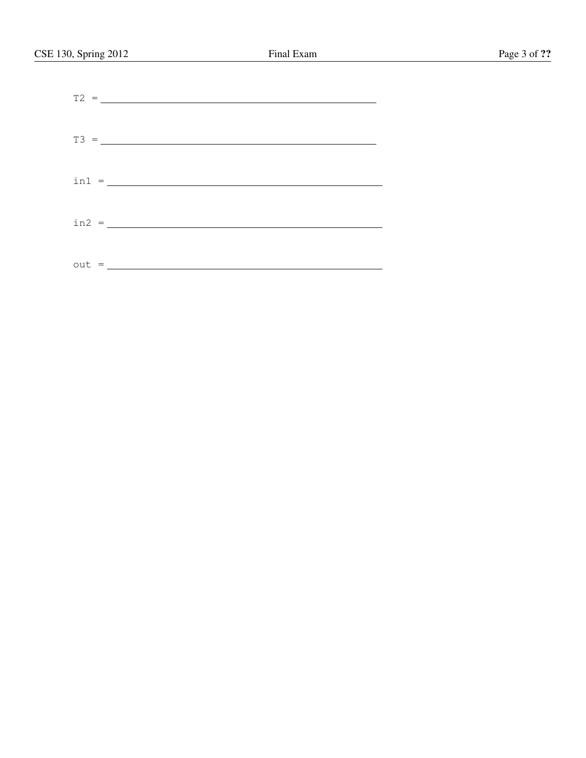|  | $\text{in1} = \_$ |  |  |  |
|--|-------------------|--|--|--|
|  |                   |  |  |  |
|  |                   |  |  |  |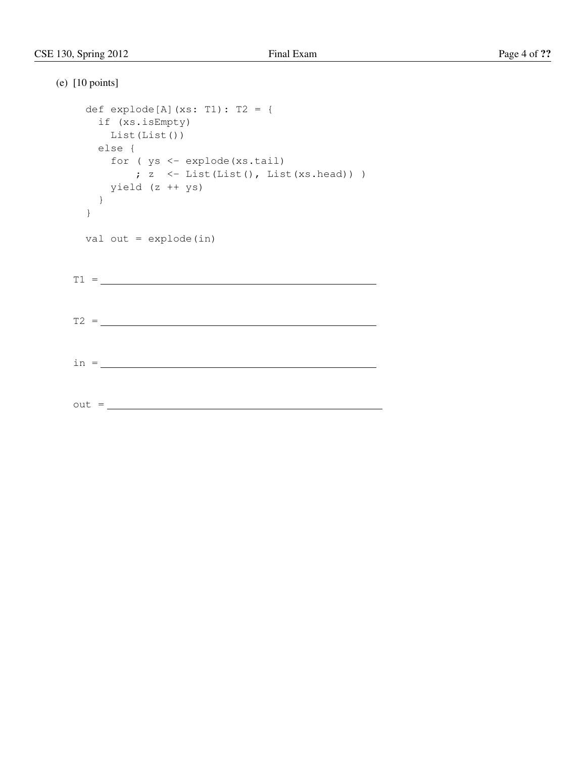```
(e) [10 points]
  def explode[A](xs: T1): T2 = {
   if (xs.isEmpty)
    List(List())
   else {
    for ( ys <- explode(xs.tail)
     ; z < - List(List(), List(xs.head)))
    yield (z ++ ys)
   }
  }
  val out = explode(in)
 T1 = \_T2 =in =
 out = \_
```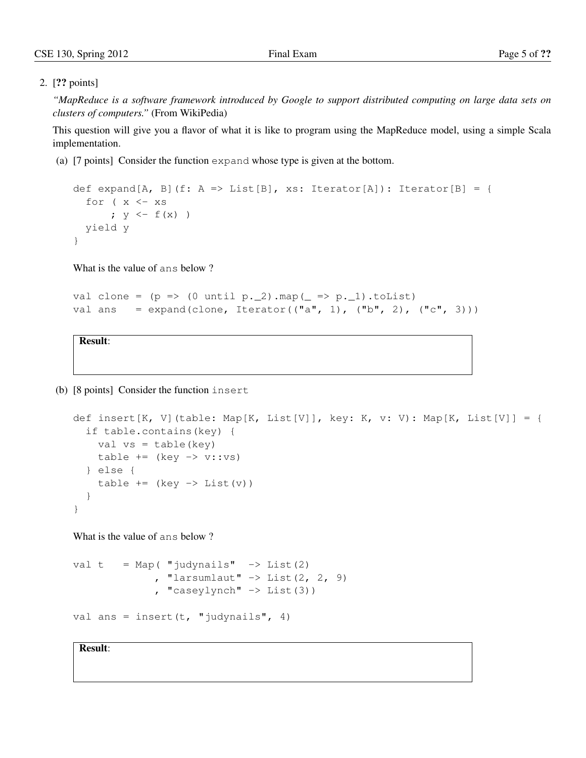## 2. [?? points]

*"MapReduce is a software framework introduced by Google to support distributed computing on large data sets on clusters of computers."* (From WikiPedia)

This question will give you a flavor of what it is like to program using the MapReduce model, using a simple Scala implementation.

(a) [7 points] Consider the function expand whose type is given at the bottom.

```
def expand[A, B](f: A => List[B], xs: Iterator[A]): Iterator[B] = {
  for (x < -xs; y \leftarrow f(x)yield y
}
```
What is the value of ans below ?

```
val clone = (p \Rightarrow (0 \text{ until } p.2) .map( = \Rightarrow p.1).toList)val ans = expand(clone, Iterator(("a", 1), ("b", 2), ("c", 3)))
```
Result:

(b) [8 points] Consider the function insert

```
def insert[K, V](table: Map[K, List[V]], key: K, v: V): Map[K, List[V]] = {
  if table.contains(key) {
    val vs = table(key)table += (key -> v::vs)
  } else {
    table += (key -> List(v))
  }
}
```
What is the value of ans below ?

```
val t = Map( "judynails" \rightarrow List(2)
                , "larsumlaut" \rightarrow List(2, 2, 9)
                , "caseylynch" \rightarrow List(3))
```

```
val ans = insert(t, "judynails", 4)
```
Result: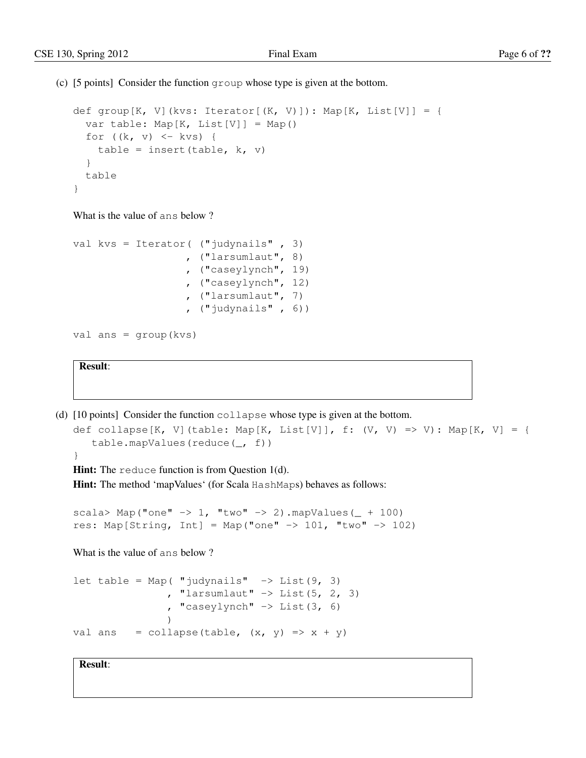(c) [5 points] Consider the function group whose type is given at the bottom.

```
def group[K, V](kvs: Iterator[(K, V)]): Map[K, List[V]] = {
  var table: Map[K, List[V]] = Map()
  for ((k, v) \leq kvs) {
   table = insert(table, k, v)
  }
  table
}
```
What is the value of ans below ?

```
val kvs = Iterator( ("judynails" , 3)
                   , ("larsumlaut", 8)
                   , ("caseylynch", 19)
                   , ("caseylynch", 12)
                   , ("larsumlaut", 7)
                   , ("judynails" , 6))
```

```
val ans = group(kvs)
```
Result:

```
(d) [10 points] Consider the function collapse whose type is given at the bottom.
```

```
def collapse[K, V](table: Map[K, List[V]], f: (V, V) => V): Map[K, V] = {
   table.mapValues(reduce(_, f))
```

```
}
```
Hint: The reduce function is from Question 1(d).

Hint: The method 'mapValues' (for Scala HashMaps) behaves as follows:

```
scala> Map("one" \rightarrow 1, "two" \rightarrow 2).mapValues( + 100)
res: Map[String, Int] = Map("one" \rightarrow 101, "two" \rightarrow 102)
```
What is the value of ans below ?

```
let table = Map( "judynails" \rightarrow List(9, 3)
                 , "larsumlaut" \rightarrow List(5, 2, 3)
                  , "caseylynch" \rightarrow List(3, 6)
                  )
val ans = collapse(table, (x, y) => x + y)
```
Result: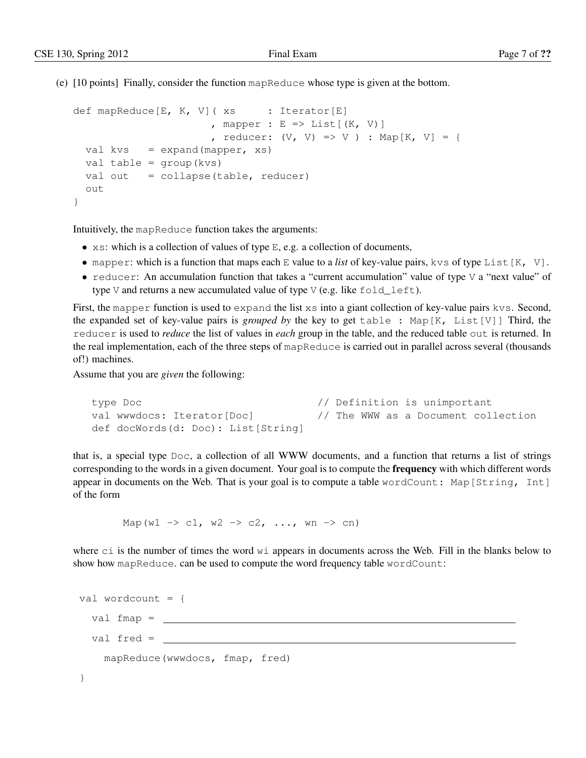(e) [10 points] Finally, consider the function mapReduce whose type is given at the bottom.

```
def mapReduce[E, K, V] (xs : Iterator[E], mapper : E \Rightarrow List[(K, V)], reducer: (V, V) => V ) : Map[K, V] = {
 val kvs = expand(mapper, xs)val table = group(kvs)
 val out = collapse(table, reducer)
  out
}
```
Intuitively, the mapReduce function takes the arguments:

- $x s$ : which is a collection of values of type E, e.g. a collection of documents,
- mapper: which is a function that maps each E value to a *list* of key-value pairs, kvs of type List [K, V].
- reducer: An accumulation function that takes a "current accumulation" value of type  $\vee$  a "next value" of type V and returns a new accumulated value of type V (e.g. like  $fold$   $left$   $left$ .

First, the mapper function is used to expand the list xs into a giant collection of key-value pairs kvs. Second, the expanded set of key-value pairs is *grouped by* the key to get table : Map[K, List[V]] Third, the reducer is used to *reduce* the list of values in *each* group in the table, and the reduced table out is returned. In the real implementation, each of the three steps of mapReduce is carried out in parallel across several (thousands of!) machines.

Assume that you are *given* the following:

```
type Doc \frac{1}{2} // Definition is unimportant
val wwwdocs: Iterator[Doc] // The WWW as a Document collection
def docWords(d: Doc): List[String]
```
that is, a special type Doc, a collection of all WWW documents, and a function that returns a list of strings corresponding to the words in a given document. Your goal is to compute the **frequency** with which different words appear in documents on the Web. That is your goal is to compute a table wordCount: Map[String, Int] of the form

Map(w1 -> c1, w2 -> c2, ..., wn -> cn)

where ci is the number of times the word wi appears in documents across the Web. Fill in the blanks below to show how mapReduce. can be used to compute the word frequency table wordCount:

```
val wordcount = {
 val fmap =
  val fred =
    mapReduce(wwwdocs, fmap, fred)
}
```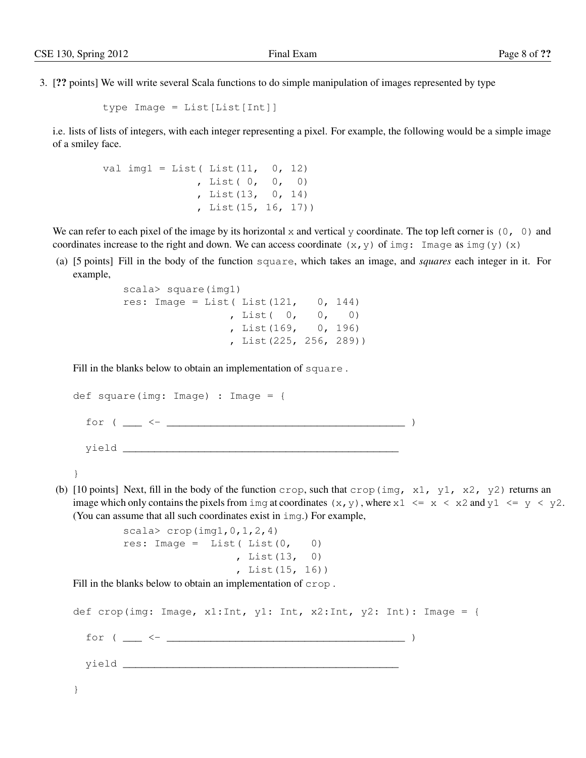3. [?? points] We will write several Scala functions to do simple manipulation of images represented by type

```
type Image = List[List[Int]]
```
i.e. lists of lists of integers, with each integer representing a pixel. For example, the following would be a simple image of a smiley face.

```
val img1 = List(List(11, 0, 12)), List( 0, 0, 0)
               , List(13, 0, 14)
               , List(15, 16, 17))
```
We can refer to each pixel of the image by its horizontal x and vertical y coordinate. The top left corner is  $(0, 0)$  and coordinates increase to the right and down. We can access coordinate  $(x, y)$  of img: Image as img(y)(x)

(a) [5 points] Fill in the body of the function square, which takes an image, and *squares* each integer in it. For example,

```
scala> square(img1)
res: Image = List (List (121, 0, 144), List( 0, 0, 0)
                , List(169, 0, 196)
                , List(225, 256, 289))
```
Fill in the blanks below to obtain an implementation of square .

```
def square(img: Image) : Image = {
  for ( ___ <- ______________________________________ )
  yield ____________________________________________
```

```
}
```
(b) [10 points] Next, fill in the body of the function crop, such that crop(img,  $x1$ ,  $y1$ ,  $x2$ ,  $y2$ ) returns an image which only contains the pixels from img at coordinates  $(x, y)$ , where  $x1 \le x \le x2$  and  $y1 \le y \le y2$ . (You can assume that all such coordinates exist in img.) For example,

```
scala> crop(imq1,0,1,2,4)res: Image = List(List(0, 0)), List(13, 0)
                 , List(15, 16))
```
Fill in the blanks below to obtain an implementation of crop .

def crop(img: Image, x1:Int, y1: Int, x2:Int, y2: Int): Image = { for ( \_\_\_ <- \_\_\_\_\_\_\_\_\_\_\_\_\_\_\_\_\_\_\_\_\_\_\_\_\_\_\_\_\_\_\_\_\_\_\_\_\_\_ ) yield \_\_\_\_\_\_\_\_\_\_\_\_\_\_\_\_\_\_\_\_\_\_\_\_\_\_\_\_\_\_\_\_\_\_\_\_\_\_\_\_\_\_\_\_ }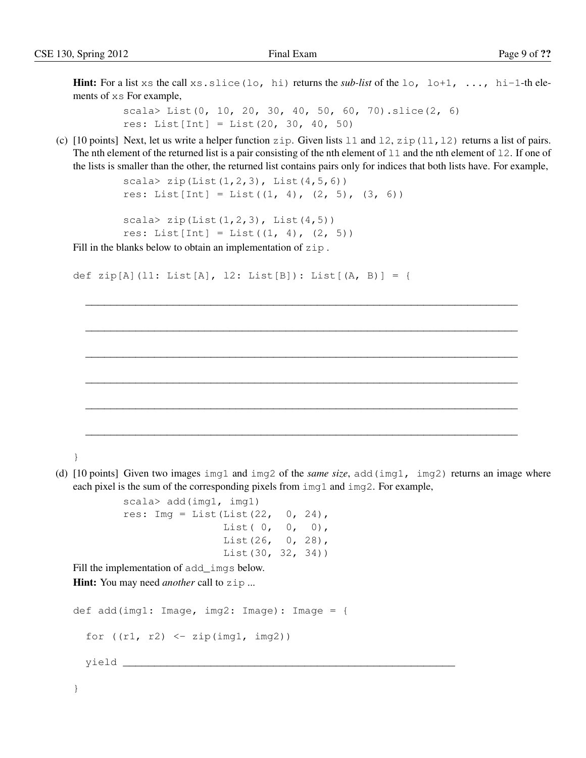**Hint:** For a list xs the call xs.slice(lo, hi) returns the *sub-list* of the lo, lo+1, ..., hi-1-th elements of xs For example,

> scala> List(0, 10, 20, 30, 40, 50, 60, 70).slice(2, 6) res: List[Int] = List(20, 30, 40, 50)

(c)  $[10 \text{ points}]$  Next, let us write a helper function zip. Given lists 11 and 12, zip(11, 12) returns a list of pairs. The nth element of the returned list is a pair consisting of the nth element of  $11$  and the nth element of  $12$ . If one of the lists is smaller than the other, the returned list contains pairs only for indices that both lists have. For example,

\_\_\_\_\_\_\_\_\_\_\_\_\_\_\_\_\_\_\_\_\_\_\_\_\_\_\_\_\_\_\_\_\_\_\_\_\_\_\_\_\_\_\_\_\_\_\_\_\_\_\_\_\_\_\_\_\_\_\_\_\_\_\_\_\_\_\_\_\_

\_\_\_\_\_\_\_\_\_\_\_\_\_\_\_\_\_\_\_\_\_\_\_\_\_\_\_\_\_\_\_\_\_\_\_\_\_\_\_\_\_\_\_\_\_\_\_\_\_\_\_\_\_\_\_\_\_\_\_\_\_\_\_\_\_\_\_\_\_

\_\_\_\_\_\_\_\_\_\_\_\_\_\_\_\_\_\_\_\_\_\_\_\_\_\_\_\_\_\_\_\_\_\_\_\_\_\_\_\_\_\_\_\_\_\_\_\_\_\_\_\_\_\_\_\_\_\_\_\_\_\_\_\_\_\_\_\_\_

\_\_\_\_\_\_\_\_\_\_\_\_\_\_\_\_\_\_\_\_\_\_\_\_\_\_\_\_\_\_\_\_\_\_\_\_\_\_\_\_\_\_\_\_\_\_\_\_\_\_\_\_\_\_\_\_\_\_\_\_\_\_\_\_\_\_\_\_\_

\_\_\_\_\_\_\_\_\_\_\_\_\_\_\_\_\_\_\_\_\_\_\_\_\_\_\_\_\_\_\_\_\_\_\_\_\_\_\_\_\_\_\_\_\_\_\_\_\_\_\_\_\_\_\_\_\_\_\_\_\_\_\_\_\_\_\_\_\_

\_\_\_\_\_\_\_\_\_\_\_\_\_\_\_\_\_\_\_\_\_\_\_\_\_\_\_\_\_\_\_\_\_\_\_\_\_\_\_\_\_\_\_\_\_\_\_\_\_\_\_\_\_\_\_\_\_\_\_\_\_\_\_\_\_\_\_\_\_

```
scala> zip(List(1, 2, 3), List(4, 5, 6))
res: List[Int] = List((1, 4), (2, 5), (3, 6))
```

```
scala> zip(List(1,2,3), List(4,5))res: List[Int] = List((1, 4), (2, 5))
```
Fill in the blanks below to obtain an implementation of zip.

```
def zip[A](l1: List[A], l2: List[B]): List[(A, B)] = {
```
}

(d) [10 points] Given two images img1 and img2 of the *same size*, add(img1, img2) returns an image where each pixel is the sum of the corresponding pixels from img1 and img2. For example,

```
scala> add(img1, img1)
res: Imq = List(List(22, 0, 24),
               List( 0, 0, 0),
                List(26, 0, 28),
                List(30, 32, 34))
```
Fill the implementation of add\_imgs below.

Hint: You may need *another* call to zip ...

```
def add(img1: Image, img2: Image): Image = {
   for ((r1, r2) < -zip(imq1, img2))yield _____________________________________________________
```
}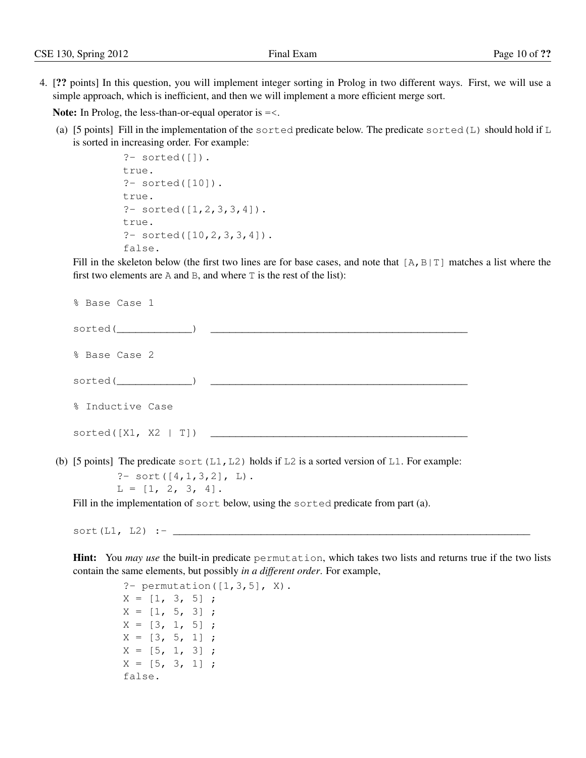4. [?? points] In this question, you will implement integer sorting in Prolog in two different ways. First, we will use a simple approach, which is inefficient, and then we will implement a more efficient merge sort.

Note: In Prolog, the less-than-or-equal operator is  $=<$ .

(a) [5 points] Fill in the implementation of the sorted predicate below. The predicate sorted  $(L)$  should hold if  $L$ is sorted in increasing order. For example:

```
?- sorted([]).
true.
?- sorted([10]).
true.
? - sorted([1, 2, 3, 3, 4]).
true.
? - sorted([10, 2, 3, 3, 4]).
false.
```
Fill in the skeleton below (the first two lines are for base cases, and note that  $[A, B|T]$  matches a list where the first two elements are A and B, and where T is the rest of the list):

| % Base Case 1                                                                                    |
|--------------------------------------------------------------------------------------------------|
| $sorted($ $)$                                                                                    |
| % Base Case 2                                                                                    |
| sorted ( )                                                                                       |
| % Inductive Case                                                                                 |
|                                                                                                  |
| (b) [5 points] The predicate sort $(L1, L2)$ holds if L2 is a sorted version of L1. For example: |
| ?- sort $([4, 1, 3, 2]$ , L).                                                                    |
| $L = [1, 2, 3, 4].$                                                                              |

Fill in the implementation of sort below, using the sorted predicate from part (a).

 $sort(L1, L2)$  :- $\_$ 

Hint: You *may use* the built-in predicate permutation, which takes two lists and returns true if the two lists contain the same elements, but possibly *in a different order*. For example,

> ?- permutation( $[1,3,5]$ , X).  $X = [1, 3, 5]$ ;  $X = [1, 5, 3]$ ;  $X = [3, 1, 5]$ ;  $X = [3, 5, 1]$ ;  $X = [5, 1, 3]$ ;  $X = [5, 3, 1]$ ; false.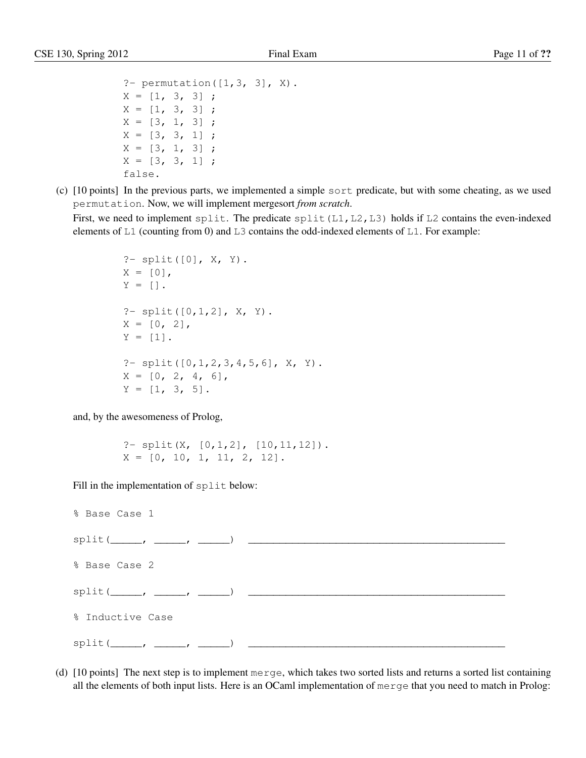```
?- permutation([1, 3, 3], X).
X = [1, 3, 3];
X = [1, 3, 3];
X = [3, 1, 3];
X = [3, 3, 1];
X = [3, 1, 3];
X = [3, 3, 1];
false.
```
(c) [10 points] In the previous parts, we implemented a simple sort predicate, but with some cheating, as we used permutation. Now, we will implement mergesort *from scratch*.

First, we need to implement split. The predicate split  $(L1, L2, L3)$  holds if L2 contains the even-indexed elements of L1 (counting from 0) and L3 contains the odd-indexed elements of L1. For example:

```
?- split([0], X, Y).
X = [0],Y = [].
?- split([0,1,2], X, Y).
X = [0, 2],Y = [1].
?- split([0,1,2,3,4,5,6], X, Y).
X = \begin{bmatrix} 0 & 2 & 4 & 6 \end{bmatrix}Y = [1, 3, 5].
```
and, by the awesomeness of Prolog,

?-  $split(X, [0, 1, 2], [10, 11, 12]).$  $X = \begin{bmatrix} 0 & 10 & 1 & 11 \\ 2 & 0 & 12 \end{bmatrix}$ .

Fill in the implementation of split below:

% Base Case 1  $split(\_\_ ,\_\_ ,\_\_ ,\_\_ )$ % Base Case 2  $split(\_\_ ,\_\_ ,\_\_ ,\_\_ ,\_\_ )$ % Inductive Case  $split(\_\_ ,\_\_ ,\_\_ ,\_\_ \_ \$ 

(d) [10 points] The next step is to implement merge, which takes two sorted lists and returns a sorted list containing all the elements of both input lists. Here is an OCaml implementation of merge that you need to match in Prolog: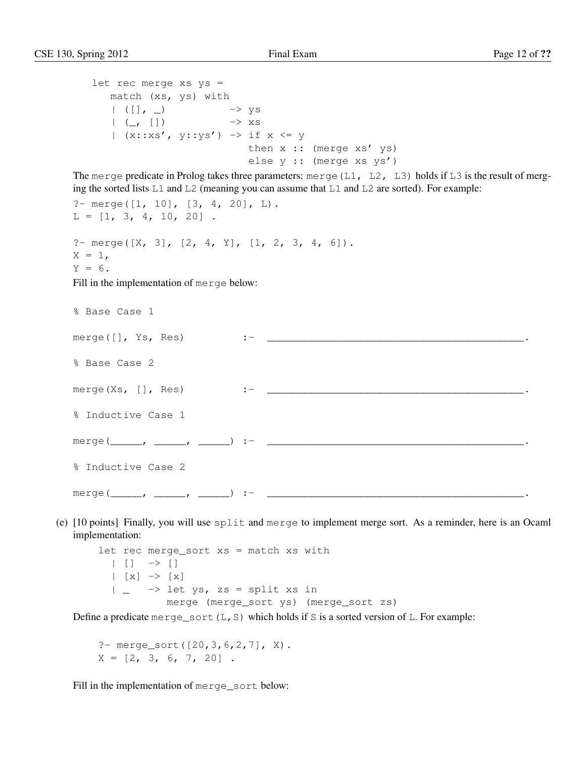```
let rec merge xs ys =
      match (xs, ys) with
       | ([] , \_) -> ys
       | (\_, []) -> xs
      | (x::xs', y::ys') \rightarrow if x \Leftarrow ythen x :: (merge xs' ys)
                               else y :: (merge xs ys')
The merge predicate in Prolog takes three parameters: merge (L1, L2, L3) holds if L3 is the result of merg-
ing the sorted lists L1 and L2 (meaning you can assume that L1 and L2 are sorted). For example:
?- merge([1, 10], [3, 4, 20], L).
L = [1, 3, 4, 10, 20].
?- merge([X, 3], [2, 4, Y], [1, 2, 3, 4, 6]).
X = 1.
Y = 6.Fill in the implementation of merge below:
% Base Case 1
merge([], Ys, Res) :- _________________________________________.
% Base Case 2
merge(Xs, [], Res) :- _________________________________________.
% Inductive Case 1
merge(_____, _____, _____) :- _________________________________________.
% Inductive Case 2
merge(_____, _____, _____) :- _________________________________________.
```
(e) [10 points] Finally, you will use split and merge to implement merge sort. As a reminder, here is an Ocaml implementation:

let rec merge\_sort xs = match xs with  $| | |$   $|$   $\rightarrow$   $|$  $| [x] \rightarrow [x]$  $| \rightarrow$  let ys, zs = split xs in merge (merge\_sort ys) (merge\_sort zs)

Define a predicate merge\_sort(L,S) which holds if S is a sorted version of L. For example:

?- merge\_sort([20,3,6,2,7], X).  $X = \begin{bmatrix} 2, 3, 6, 7, 20 \end{bmatrix}$ .

Fill in the implementation of merge\_sort below: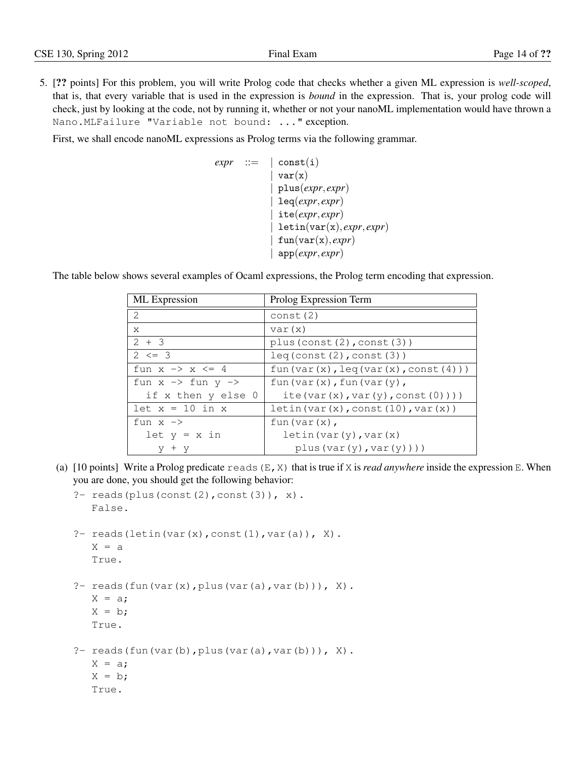5. [?? points] For this problem, you will write Prolog code that checks whether a given ML expression is *well-scoped*, that is, that every variable that is used in the expression is *bound* in the expression. That is, your prolog code will check, just by looking at the code, not by running it, whether or not your nanoML implementation would have thrown a Nano.MLFailure "Variable not bound: ..." exception.

First, we shall encode nanoML expressions as Prolog terms via the following grammar.

```
expr ::= |\text{const}(i)|var(x)| plus(expr, expr)
               | leq(expr, expr)
               | ite(expr, expr)
               | letin(var(x), expr, expr)
               fun(var(x), expr)| app(expr, expr)
```
The table below shows several examples of Ocaml expressions, the Prolog term encoding that expression.

| ML Expression                           | Prolog Expression Term                           |
|-----------------------------------------|--------------------------------------------------|
| 2                                       | const(2)                                         |
| X                                       | var(x)                                           |
| $2 + 3$                                 | plus (const $(2)$ , const $(3)$ )                |
| $2 \leq 3$                              | leq(const(2),const(3))                           |
| fun $x \rightarrow x \leftarrow 4$      | fun(var(x), $leq(x)$ , $(var(x), const(4))$ )    |
| fun $x \rightarrow$ fun $y \rightarrow$ | fun $\text{(var(x)}, \text{fun}(\text{var(y)}),$ |
| if x then y else 0                      | ite(var $(x)$ , var $(y)$ , const $(0)$ )))      |
| $let x = 10 in x$                       | letin(var(x), const(10), var(x))                 |
| fun $x \rightarrow$                     | fun (var(x),                                     |
| $let y = x in$                          | letin(var(y), var(x)                             |
| $+$ y                                   | plus(var(y),var(y)))                             |

(a)  $[10 \text{ points}]$  Write a Prolog predicate reads  $(E, X)$  that is true if X is *read anywhere* inside the expression E. When you are done, you should get the following behavior:

```
?- reads(plus(const(2), const(3)), x).
   False.
?- reads(letin(var(x), const(1), var(a)), X).
   X = aTrue.
?- reads(fun(var(x), plus(var(a), var(b))), X).
   X = a;
   X = b;
   True.
?- reads(fun(var(b), plus(var(a), var(b))), X).
   X = a;X = b;True.
```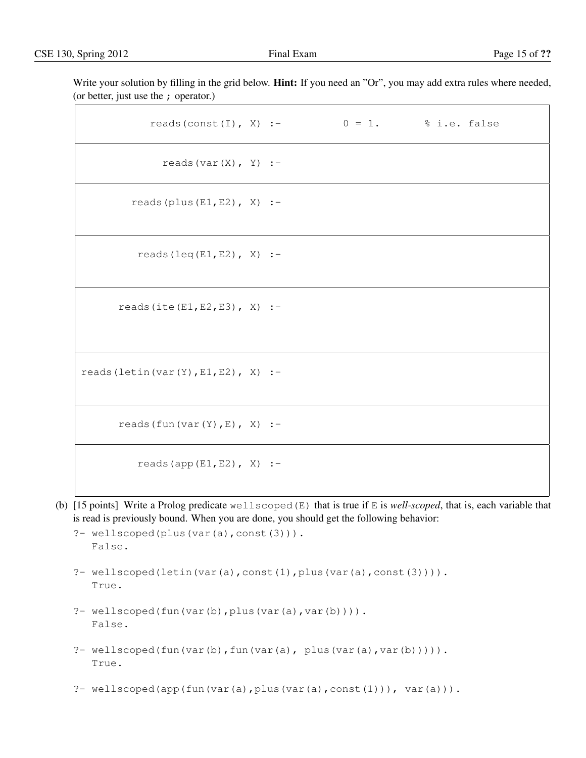Write your solution by filling in the grid below. **Hint:** If you need an "Or", you may add extra rules where needed, (or better, just use the ; operator.)

| reads (const (I), X) :- $0 = 1$ . % i.e. false |  |  |
|------------------------------------------------|--|--|
| reads $(var(X), Y)$ :-                         |  |  |
| reads (plus $(E1, E2)$ , X) :-                 |  |  |
| reads $(\text{leq}(E1, E2), X)$ :-             |  |  |
| reads (ite $(E1, E2, E3)$ , X) :-              |  |  |
| reads (letin (var $(Y)$ , E1, E2), X) :-       |  |  |
| reads $(fun(var(Y), E), X)$ :-                 |  |  |
| reads (app $(E1, E2)$ , X) :-                  |  |  |

(b) [15 points] Write a Prolog predicate wellscoped(E) that is true if E is *well-scoped*, that is, each variable that is read is previously bound. When you are done, you should get the following behavior:

```
?- wellscoped(plus(var(a),const(3))).
  False.
```
- ?- wellscoped(letin(var(a),const(1),plus(var(a),const(3)))). True.
- ?- wellscoped(fun(var(b), plus(var(a), var(b)))). False.
- ?- wellscoped(fun(var(b),fun(var(a), plus(var(a),var(b))))). True.
- ?- wellscoped(app(fun(var(a),plus(var(a),const(1))), var(a))).